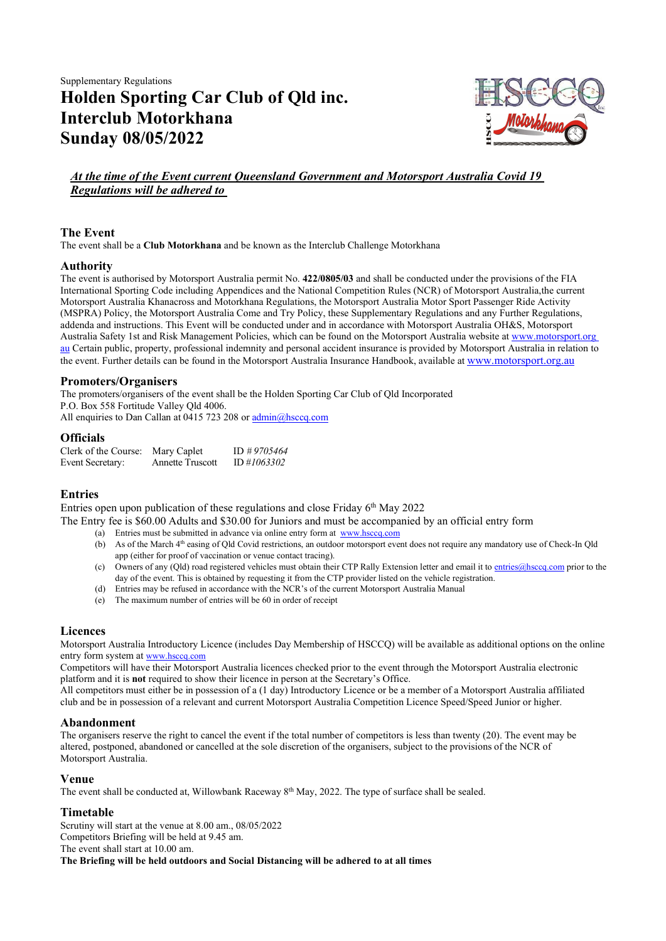Supplementary Regulations Holden Sporting Car Club of Qld inc. Interclub Motorkhana Sunday 08/05/2022



# At the time of the Event current Queensland Government and Motorsport Australia Covid 19 Regulations will be adhered to

# The Event

The event shall be a Club Motorkhana and be known as the Interclub Challenge Motorkhana

## Authority

The event is authorised by Motorsport Australia permit No. 422/0805/03 and shall be conducted under the provisions of the FIA International Sporting Code including Appendices and the National Competition Rules (NCR) of Motorsport Australia, the current Motorsport Australia Khanacross and Motorkhana Regulations, the Motorsport Australia Motor Sport Passenger Ride Activity (MSPRA) Policy, the Motorsport Australia Come and Try Policy, these Supplementary Regulations and any Further Regulations, addenda and instructions. This Event will be conducted under and in accordance with Motorsport Australia OH&S, Motorsport Australia Safety 1st and Risk Management Policies, which can be found on the Motorsport Australia website at www.motorsport.org au Certain public, property, professional indemnity and personal accident insurance is provided by Motorsport Australia in relation to the event. Further details can be found in the Motorsport Australia Insurance Handbook, available at www.motorsport.org.au

# Promoters/Organisers

The promoters/organisers of the event shall be the Holden Sporting Car Club of Qld Incorporated P.O. Box 558 Fortitude Valley Qld 4006. All enquiries to Dan Callan at 0415 723 208 or admin@hsccq.com

## **Officials**

| Clerk of the Course:    | Mary Caplet             | ID $\#9705464$ |
|-------------------------|-------------------------|----------------|
| <b>Event Secretary:</b> | <b>Annette Truscott</b> | ID#1063302     |

# Entries

Entries open upon publication of these regulations and close Friday  $6<sup>th</sup>$  May 2022

The Entry fee is \$60.00 Adults and \$30.00 for Juniors and must be accompanied by an official entry form

- (a) Entries must be submitted in advance via online entry form at www.hsccq.com
- (b) As of the March  $4<sup>th</sup>$  easing of Qld Covid restrictions, an outdoor motorsport event does not require any mandatory use of Check-In Qld app (either for proof of vaccination or venue contact tracing).
- (c) Owners of any (Qld) road registered vehicles must obtain their CTP Rally Extension letter and email it to entries@hsccq.com prior to the day of the event. This is obtained by requesting it from the CTP provider listed on the vehicle registration.
- (d) Entries may be refused in accordance with the NCR's of the current Motorsport Australia Manual
- (e) The maximum number of entries will be 60 in order of receipt

# Licences

Motorsport Australia Introductory Licence (includes Day Membership of HSCCQ) will be available as additional options on the online entry form system at www.hsccq.com

Competitors will have their Motorsport Australia licences checked prior to the event through the Motorsport Australia electronic platform and it is not required to show their licence in person at the Secretary's Office.

All competitors must either be in possession of a (1 day) Introductory Licence or be a member of a Motorsport Australia affiliated club and be in possession of a relevant and current Motorsport Australia Competition Licence Speed/Speed Junior or higher.

#### Abandonment

The organisers reserve the right to cancel the event if the total number of competitors is less than twenty (20). The event may be altered, postponed, abandoned or cancelled at the sole discretion of the organisers, subject to the provisions of the NCR of Motorsport Australia.

# Venue

The event shall be conducted at, Willowbank Raceway  $8<sup>th</sup>$  May, 2022. The type of surface shall be sealed.

# Timetable

Scrutiny will start at the venue at 8.00 am., 08/05/2022 Competitors Briefing will be held at 9.45 am. The event shall start at 10.00 am. The Briefing will be held outdoors and Social Distancing will be adhered to at all times